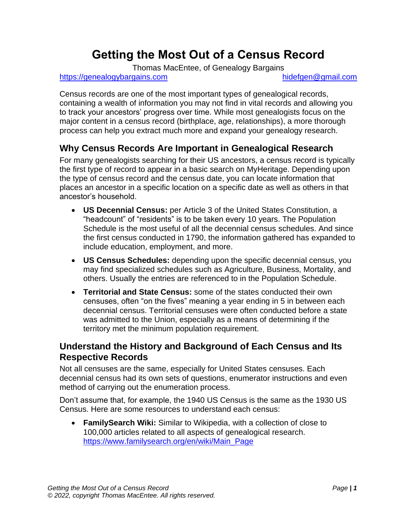# **Getting the Most Out of a Census Record**

Thomas MacEntee, of Genealogy Bargains

[https://genealogybargains.com](https://genealogybargains.com/) https://genealogybargains.com

Census records are one of the most important types of genealogical records, containing a wealth of information you may not find in vital records and allowing you to track your ancestors' progress over time. While most genealogists focus on the major content in a census record (birthplace, age, relationships), a more thorough process can help you extract much more and expand your genealogy research.

# **Why Census Records Are Important in Genealogical Research**

For many genealogists searching for their US ancestors, a census record is typically the first type of record to appear in a basic search on MyHeritage. Depending upon the type of census record and the census date, you can locate information that places an ancestor in a specific location on a specific date as well as others in that ancestor's household.

- **US Decennial Census:** per Article 3 of the United States Constitution, a "headcount" of "residents" is to be taken every 10 years. The Population Schedule is the most useful of all the decennial census schedules. And since the first census conducted in 1790, the information gathered has expanded to include education, employment, and more.
- **US Census Schedules:** depending upon the specific decennial census, you may find specialized schedules such as Agriculture, Business, Mortality, and others. Usually the entries are referenced to in the Population Schedule.
- **Territorial and State Census:** some of the states conducted their own censuses, often "on the fives" meaning a year ending in 5 in between each decennial census. Territorial censuses were often conducted before a state was admitted to the Union, especially as a means of determining if the territory met the minimum population requirement.

# **Understand the History and Background of Each Census and Its Respective Records**

Not all censuses are the same, especially for United States censuses. Each decennial census had its own sets of questions, enumerator instructions and even method of carrying out the enumeration process.

Don't assume that, for example, the 1940 US Census is the same as the 1930 US Census. Here are some resources to understand each census:

• **FamilySearch Wiki:** Similar to Wikipedia, with a collection of close to 100,000 articles related to all aspects of genealogical research. [https://www.familysearch.org/en/wiki/Main\\_Page](https://www.familysearch.org/en/wiki/Main_Page)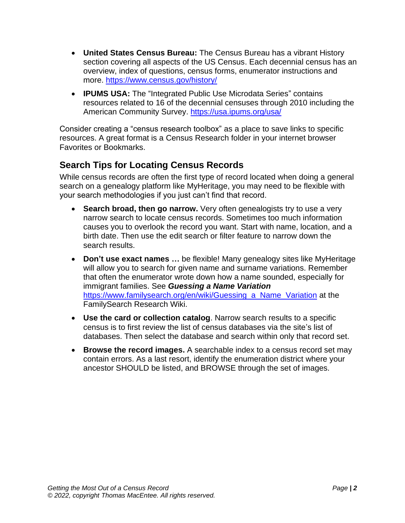- **United States Census Bureau:** The Census Bureau has a vibrant History section covering all aspects of the US Census. Each decennial census has an overview, index of questions, census forms, enumerator instructions and more.<https://www.census.gov/history/>
- **IPUMS USA:** The "Integrated Public Use Microdata Series" contains resources related to 16 of the decennial censuses through 2010 including the American Community Survey.<https://usa.ipums.org/usa/>

Consider creating a "census research toolbox" as a place to save links to specific resources. A great format is a Census Research folder in your internet browser Favorites or Bookmarks.

# **Search Tips for Locating Census Records**

While census records are often the first type of record located when doing a general search on a genealogy platform like MyHeritage, you may need to be flexible with your search methodologies if you just can't find that record.

- **Search broad, then go narrow.** Very often genealogists try to use a very narrow search to locate census records. Sometimes too much information causes you to overlook the record you want. Start with name, location, and a birth date. Then use the edit search or filter feature to narrow down the search results.
- **Don't use exact names …** be flexible! Many genealogy sites like MyHeritage will allow you to search for given name and surname variations. Remember that often the enumerator wrote down how a name sounded, especially for immigrant families. See *Guessing a Name Variation* [https://www.familysearch.org/en/wiki/Guessing\\_a\\_Name\\_Variation](https://www.familysearch.org/en/wiki/Guessing_a_Name_Variation) at the FamilySearch Research Wiki.
- **Use the card or collection catalog**. Narrow search results to a specific census is to first review the list of census databases via the site's list of databases. Then select the database and search within only that record set.
- **Browse the record images.** A searchable index to a census record set may contain errors. As a last resort, identify the enumeration district where your ancestor SHOULD be listed, and BROWSE through the set of images.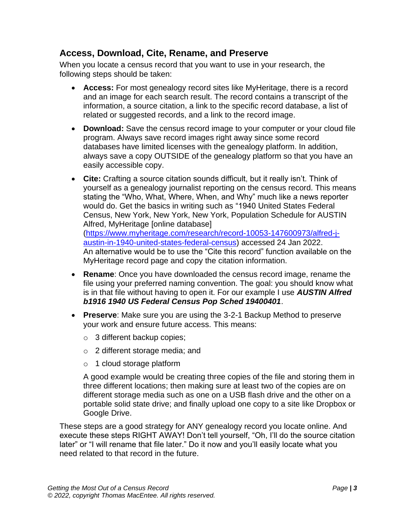#### **Access, Download, Cite, Rename, and Preserve**

When you locate a census record that you want to use in your research, the following steps should be taken:

- **Access:** For most genealogy record sites like MyHeritage, there is a record and an image for each search result. The record contains a transcript of the information, a source citation, a link to the specific record database, a list of related or suggested records, and a link to the record image.
- **Download:** Save the census record image to your computer or your cloud file program. Always save record images right away since some record databases have limited licenses with the genealogy platform. In addition, always save a copy OUTSIDE of the genealogy platform so that you have an easily accessible copy.
- **Cite:** Crafting a source citation sounds difficult, but it really isn't. Think of yourself as a genealogy journalist reporting on the census record. This means stating the "Who, What, Where, When, and Why" much like a news reporter would do. Get the basics in writing such as "1940 United States Federal Census, New York, New York, New York, Population Schedule for AUSTIN Alfred, MyHeritage [online database] [\(https://www.myheritage.com/research/record-10053-147600973/alfred-j](https://www.myheritage.com/research/record-10053-147600973/alfred-j-austin-in-1940-united-states-federal-census)[austin-in-1940-united-states-federal-census\)](https://www.myheritage.com/research/record-10053-147600973/alfred-j-austin-in-1940-united-states-federal-census) accessed 24 Jan 2022. An alternative would be to use the "Cite this record" function available on the MyHeritage record page and copy the citation information.
- **Rename**: Once you have downloaded the census record image, rename the file using your preferred naming convention. The goal: you should know what is in that file without having to open it. For our example I use *AUSTIN Alfred b1916 1940 US Federal Census Pop Sched 19400401*.
- **Preserve**: Make sure you are using the 3-2-1 Backup Method to preserve your work and ensure future access. This means:
	- o 3 different backup copies;
	- o 2 different storage media; and
	- o 1 cloud storage platform

A good example would be creating three copies of the file and storing them in three different locations; then making sure at least two of the copies are on different storage media such as one on a USB flash drive and the other on a portable solid state drive; and finally upload one copy to a site like Dropbox or Google Drive.

These steps are a good strategy for ANY genealogy record you locate online. And execute these steps RIGHT AWAY! Don't tell yourself, "Oh, I'll do the source citation later" or "I will rename that file later." Do it now and you'll easily locate what you need related to that record in the future.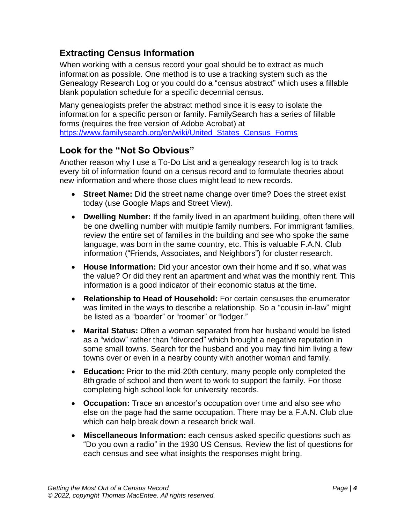# **Extracting Census Information**

When working with a census record your goal should be to extract as much information as possible. One method is to use a tracking system such as the Genealogy Research Log or you could do a "census abstract" which uses a fillable blank population schedule for a specific decennial census.

Many genealogists prefer the abstract method since it is easy to isolate the information for a specific person or family. FamilySearch has a series of fillable forms (requires the free version of Adobe Acrobat) at [https://www.familysearch.org/en/wiki/United\\_States\\_Census\\_Forms](https://www.familysearch.org/en/wiki/United_States_Census_Forms)

# **Look for the "Not So Obvious"**

Another reason why I use a To-Do List and a genealogy research log is to track every bit of information found on a census record and to formulate theories about new information and where those clues might lead to new records.

- **Street Name:** Did the street name change over time? Does the street exist today (use Google Maps and Street View).
- **Dwelling Number:** If the family lived in an apartment building, often there will be one dwelling number with multiple family numbers. For immigrant families, review the entire set of families in the building and see who spoke the same language, was born in the same country, etc. This is valuable F.A.N. Club information ("Friends, Associates, and Neighbors") for cluster research.
- **House Information:** Did your ancestor own their home and if so, what was the value? Or did they rent an apartment and what was the monthly rent. This information is a good indicator of their economic status at the time.
- **Relationship to Head of Household:** For certain censuses the enumerator was limited in the ways to describe a relationship. So a "cousin in-law" might be listed as a "boarder" or "roomer" or "lodger."
- **Marital Status:** Often a woman separated from her husband would be listed as a "widow" rather than "divorced" which brought a negative reputation in some small towns. Search for the husband and you may find him living a few towns over or even in a nearby county with another woman and family.
- **Education:** Prior to the mid-20th century, many people only completed the 8th grade of school and then went to work to support the family. For those completing high school look for university records.
- **Occupation:** Trace an ancestor's occupation over time and also see who else on the page had the same occupation. There may be a F.A.N. Club clue which can help break down a research brick wall.
- **Miscellaneous Information:** each census asked specific questions such as "Do you own a radio" in the 1930 US Census. Review the list of questions for each census and see what insights the responses might bring.